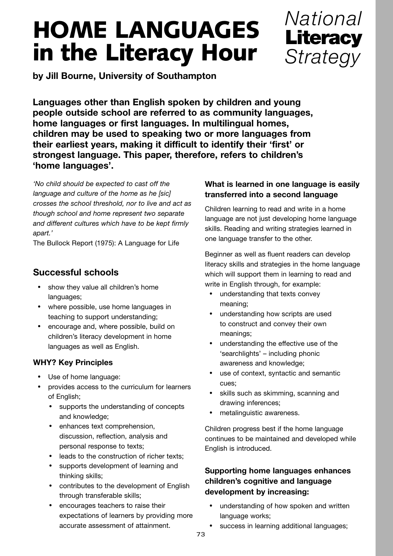# **HOME LANGUAGES in the Literacy Hour**



**by Jill Bourne, University of Southampton**

**Languages other than English spoken by children and young people outside school are referred to as community languages, home languages or first languages. In multilingual homes, children may be used to speaking two or more languages from their earliest years, making it difficult to identify their 'first' or strongest language. This paper, therefore, refers to children's 'home languages'.**

*'No child should be expected to cast off the language and culture of the home as he [sic] crosses the school threshold, nor to live and act as though school and home represent two separate and different cultures which have to be kept firmly apart.'* 

The Bullock Report (1975): A Language for Life

# **Successful schools**

- show they value all children's home languages;
- where possible, use home languages in teaching to support understanding;
- encourage and, where possible, build on children's literacy development in home languages as well as English.

## **WHY? Key Principles**

- Use of home language:
- provides access to the curriculum for learners of English;
	- supports the understanding of concepts and knowledge;
	- enhances text comprehension, discussion, reflection, analysis and personal response to texts;
	- leads to the construction of richer texts;
	- supports development of learning and thinking skills;
	- contributes to the development of English through transferable skills;
	- encourages teachers to raise their expectations of learners by providing more accurate assessment of attainment.

# **What is learned in one language is easily transferred into a second language**

Children learning to read and write in a home language are not just developing home language skills. Reading and writing strategies learned in one language transfer to the other.

Beginner as well as fluent readers can develop literacy skills and strategies in the home language which will support them in learning to read and write in English through, for example:

- understanding that texts convey meaning;
- understanding how scripts are used to construct and convey their own meanings;
- understanding the effective use of the 'searchlights' – including phonic awareness and knowledge;
- use of context, syntactic and semantic cues;
- skills such as skimming, scanning and drawing inferences;
- metalinguistic awareness.

Children progress best if the home language continues to be maintained and developed while English is introduced.

## **Supporting home languages enhances children's cognitive and language development by increasing:**

- understanding of how spoken and written language works;
- success in learning additional languages;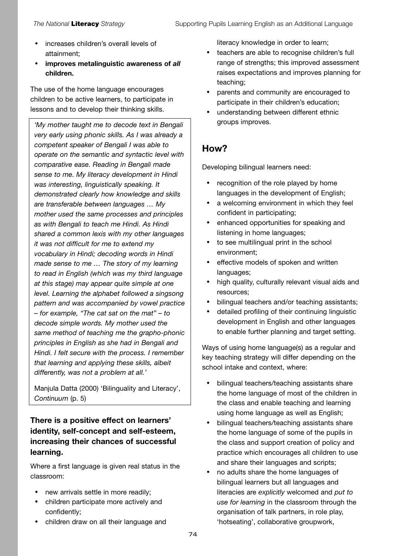- increases children's overall levels of attainment;
- **improves metalinguistic awareness of** *all* **children.**

The use of the home language encourages children to be active learners, to participate in lessons and to develop their thinking skills.

*'My mother taught me to decode text in Bengali very early using phonic skills. As I was already a competent speaker of Bengali I was able to operate on the semantic and syntactic level with comparative ease. Reading in Bengali made sense to me. My literacy development in Hindi was interesting, linguistically speaking. It demonstrated clearly how knowledge and skills are transferable between languages … My mother used the same processes and principles as with Bengali to teach me Hindi. As Hindi shared a common lexis with my other languages it was not difficult for me to extend my vocabulary in Hindi; decoding words in Hindi made sense to me … The story of my learning to read in English (which was my third language at this stage) may appear quite simple at one level. Learning the alphabet followed a singsong pattern and was accompanied by vowel practice – for example, "The cat sat on the mat" – to decode simple words. My mother used the same method of teaching me the grapho-phonic principles in English as she had in Bengali and Hindi. I felt secure with the process. I remember that learning and applying these skills, albeit differently, was not a problem at all.'* 

Manjula Datta (2000) 'Bilinguality and Literacy', *Continuum* (p. 5)

## **There is a positive effect on learners' identity, self-concept and self-esteem, increasing their chances of successful learning.**

Where a first language is given real status in the classroom:

- new arrivals settle in more readily;
- children participate more actively and confidently;
- children draw on all their language and

literacy knowledge in order to learn;

- teachers are able to recognise children's full range of strengths; this improved assessment raises expectations and improves planning for teaching;
- parents and community are encouraged to participate in their children's education;
- understanding between different ethnic groups improves.

# **How?**

Developing bilingual learners need:

- recognition of the role played by home languages in the development of English;
- a welcoming environment in which they feel confident in participating;
- enhanced opportunities for speaking and listening in home languages;
- to see multilingual print in the school environment;
- effective models of spoken and written languages;
- high quality, culturally relevant visual aids and resources;
- bilingual teachers and/or teaching assistants;
- detailed profiling of their continuing linguistic development in English and other languages to enable further planning and target setting.

Ways of using home language(s) as a regular and key teaching strategy will differ depending on the school intake and context, where:

- bilingual teachers/teaching assistants share the home language of most of the children in the class and enable teaching and learning using home language as well as English;
- bilingual teachers/teaching assistants share the home language of some of the pupils in the class and support creation of policy and practice which encourages all children to use and share their languages and scripts;
- no adults share the home languages of bilingual learners but all languages and literacies are explicitly welcomed and *put to use for learning* in the classroom through the organisation of talk partners, in role play, 'hotseating', collaborative groupwork,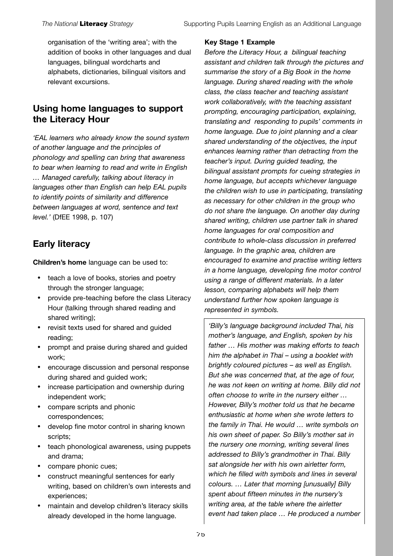organisation of the 'writing area'; with the addition of books in other languages and dual languages, bilingual wordcharts and alphabets, dictionaries, bilingual visitors and relevant excursions.

# **Using home languages to support the Literacy Hour**

*'EAL learners who already know the sound system of another language and the principles of phonology and spelling can bring that awareness to bear when learning to read and write in English … Managed carefully, talking about literacy in languages other than English can help EAL pupils to identify points of similarity and difference between languages at word, sentence and text level.'* (DfEE 1998, p. 107)

# **Early literacy**

**Children's home** language can be used to:

- teach a love of books, stories and poetry through the stronger language;
- provide pre-teaching before the class Literacy Hour (talking through shared reading and shared writing);
- revisit texts used for shared and guided reading;
- prompt and praise during shared and guided work;
- encourage discussion and personal response during shared and guided work;
- increase participation and ownership during independent work;
- compare scripts and phonic correspondences;
- develop fine motor control in sharing known scripts;
- teach phonological awareness, using puppets and drama;
- compare phonic cues;
- construct meaningful sentences for early writing, based on children's own interests and experiences;
- maintain and develop children's literacy skills already developed in the home language.

#### **Key Stage 1 Example**

*Before the Literacy Hour, a bilingual teaching assistant and children talk through the pictures and summarise the story of a Big Book in the home language. During shared reading with the whole class, the class teacher and teaching assistant work collaboratively, with the teaching assistant prompting, encouraging participation, explaining, translating and responding to pupils' comments in home language. Due to joint planning and a clear shared understanding of the objectives, the input enhances learning rather than detracting from the teacher's input. During guided teading, the bilingual assistant prompts for cueing strategies in home language, but accepts whichever language the children wish to use in participating, translating as necessary for other children in the group who do not share the language. On another day during shared writing, children use partner talk in shared home languages for oral composition and contribute to whole-class discussion in preferred language. In the graphic area, children are encouraged to examine and practise writing letters in a home language, developing fine motor control using a range of different materials. In a later lesson, comparing alphabets will help them understand further how spoken language is represented in symbols.* 

*'Billy's language background included Thai, his mother's language, and English, spoken by his father … His mother was making efforts to teach him the alphabet in Thai – using a booklet with brightly coloured pictures – as well as English. But she was concerned that, at the age of four, he was not keen on writing at home. Billy did not often choose to write in the nursery either … However, Billy's mother told us that he became enthusiastic at home when she wrote letters to the family in Thai. He would … write symbols on his own sheet of paper. So Billy's mother sat in the nursery one morning, writing several lines addressed to Billy's grandmother in Thai. Billy sat alongside her with his own airletter form, which he filled with symbols and lines in several colours. … Later that morning [unusually] Billy spent about fifteen minutes in the nursery's writing area, at the table where the airletter event had taken place … He produced a number*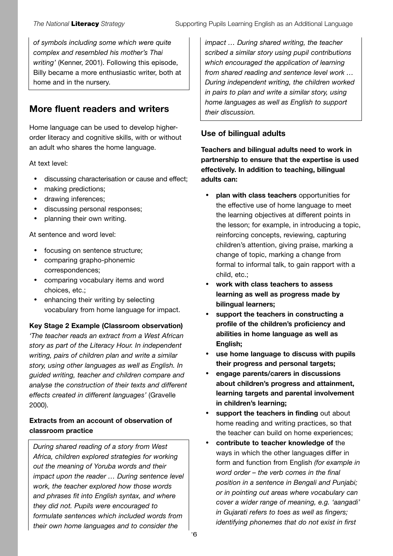*of symbols including some which were quite complex and resembled his mother's Thai writing'* (Kenner, 2001). Following this episode, Billy became a more enthusiastic writer, both at home and in the nursery.

# **More fluent readers and writers**

Home language can be used to develop higherorder literacy and cognitive skills, with or without an adult who shares the home language.

At text level:

- discussing characterisation or cause and effect;
- making predictions;
- drawing inferences;
- discussing personal responses;
- planning their own writing.

At sentence and word level:

- focusing on sentence structure;
- comparing grapho-phonemic correspondences;
- comparing vocabulary items and word choices, etc.;
- enhancing their writing by selecting vocabulary from home language for impact.

**Key Stage 2 Example (Classroom observation)**  *'The teacher reads an extract from a West African story as part of the Literacy Hour. In independent writing, pairs of children plan and write a similar story, using other languages as well as English. In guided writing, teacher and children compare and analyse the construction of their texts and different effects created in different languages'* (Gravelle 2000).

#### **Extracts from an account of observation of classroom practice**

*During shared reading of a story from West Africa, children explored strategies for working out the meaning of Yoruba words and their impact upon the reader … During sentence level work, the teacher explored how those words and phrases fit into English syntax, and where they did not. Pupils were encouraged to formulate sentences which included words from their own home languages and to consider the*

*impact … During shared writing, the teacher scribed a similar story using pupil contributions which encouraged the application of learning from shared reading and sentence level work … During independent writing, the children worked in pairs to plan and write a similar story, using home languages as well as English to support their discussion.*

### **Use of bilingual adults**

**Teachers and bilingual adults need to work in partnership to ensure that the expertise is used effectively. In addition to teaching, bilingual adults can:**

- **plan with class teachers** opportunities for the effective use of home language to meet the learning objectives at different points in the lesson; for example, in introducing a topic, reinforcing concepts, reviewing, capturing children's attention, giving praise, marking a change of topic, marking a change from formal to informal talk, to gain rapport with a child, etc.;
- **work with class teachers to assess learning as well as progress made by bilingual learners;**
- **support the teachers in constructing a profile of the children's proficiency and abilities in home language as well as English;**
- **use home language to discuss with pupils their progress and personal targets;**
- **engage parents/carers in discussions about children's progress and attainment, learning targets and parental involvement in children's learning;**
- **support the teachers in finding** out about home reading and writing practices, so that the teacher can build on home experiences;
- **contribute to teacher knowledge of** the ways in which the other languages differ in form and function from English *(for example in word order – the verb comes in the final position in a sentence in Bengali and Punjabi; or in pointing out areas where vocabulary can cover a wider range of meaning, e.g. 'aangadi' in Gujarati refers to toes as well as fingers; identifying phonemes that do not exist in first*